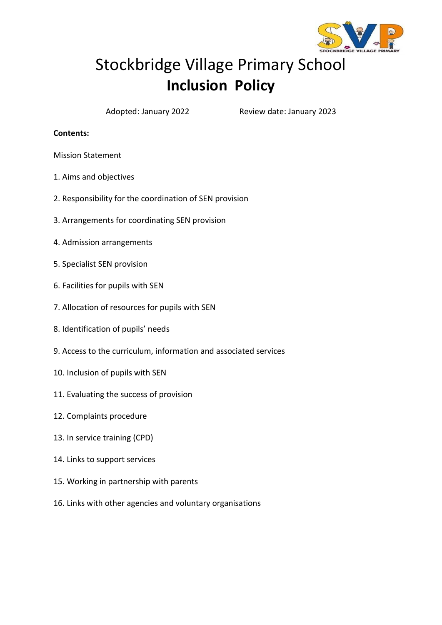

# Stockbridge Village Primary School **Inclusion Policy**

Adopted: January 2022 Review date: January 2023

#### **Contents:**

Mission Statement

- 1. Aims and objectives
- 2. Responsibility for the coordination of SEN provision
- 3. Arrangements for coordinating SEN provision
- 4. Admission arrangements
- 5. Specialist SEN provision
- 6. Facilities for pupils with SEN
- 7. Allocation of resources for pupils with SEN
- 8. Identification of pupils' needs
- 9. Access to the curriculum, information and associated services
- 10. Inclusion of pupils with SEN
- 11. Evaluating the success of provision
- 12. Complaints procedure
- 13. In service training (CPD)
- 14. Links to support services
- 15. Working in partnership with parents
- 16. Links with other agencies and voluntary organisations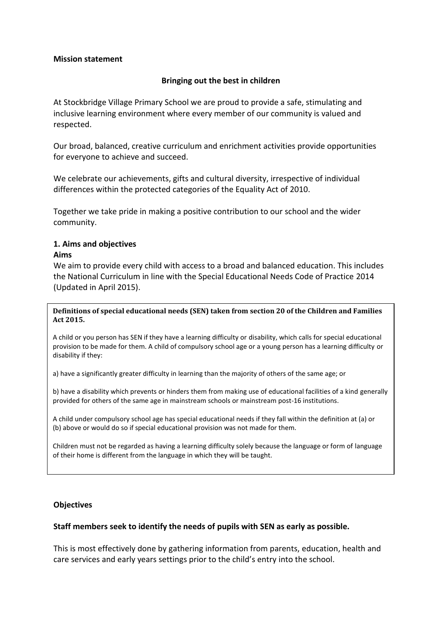#### **Mission statement**

#### **Bringing out the best in children**

At Stockbridge Village Primary School we are proud to provide a safe, stimulating and inclusive learning environment where every member of our community is valued and respected.

Our broad, balanced, creative curriculum and enrichment activities provide opportunities for everyone to achieve and succeed.

We celebrate our achievements, gifts and cultural diversity, irrespective of individual differences within the protected categories of the Equality Act of 2010.

Together we take pride in making a positive contribution to our school and the wider community.

#### **1. Aims and objectives Aims**

We aim to provide every child with access to a broad and balanced education. This includes the National Curriculum in line with the Special Educational Needs Code of Practice 2014 (Updated in April 2015).

**Definitions of special educational needs (SEN) taken from section 20 of the Children and Families Act 2015.**

A child or you person has SEN if they have a learning difficulty or disability, which calls for special educational provision to be made for them. A child of compulsory school age or a young person has a learning difficulty or disability if they:

a) have a significantly greater difficulty in learning than the majority of others of the same age; or

b) have a disability which prevents or hinders them from making use of educational facilities of a kind generally provided for others of the same age in mainstream schools or mainstream post-16 institutions.

A child under compulsory school age has special educational needs if they fall within the definition at (a) or (b) above or would do so if special educational provision was not made for them.

Children must not be regarded as having a learning difficulty solely because the language or form of language of their home is different from the language in which they will be taught.

#### **Objectives**

#### **Staff members seek to identify the needs of pupils with SEN as early as possible.**

This is most effectively done by gathering information from parents, education, health and care services and early years settings prior to the child's entry into the school.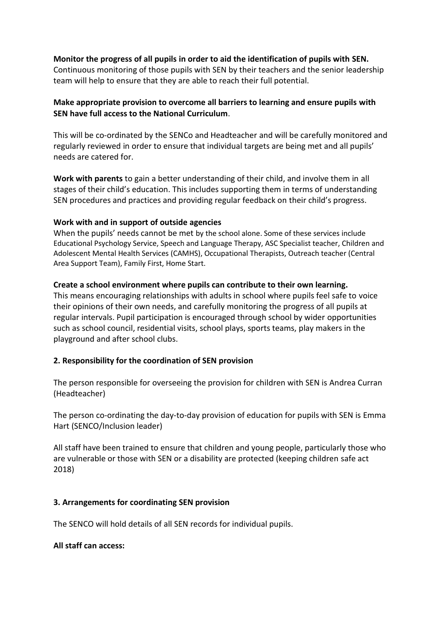# **Monitor the progress of all pupils in order to aid the identification of pupils with SEN.**

Continuous monitoring of those pupils with SEN by their teachers and the senior leadership team will help to ensure that they are able to reach their full potential.

# **Make appropriate provision to overcome all barriers to learning and ensure pupils with SEN have full access to the National Curriculum**.

This will be co-ordinated by the SENCo and Headteacher and will be carefully monitored and regularly reviewed in order to ensure that individual targets are being met and all pupils' needs are catered for.

**Work with parents** to gain a better understanding of their child, and involve them in all stages of their child's education. This includes supporting them in terms of understanding SEN procedures and practices and providing regular feedback on their child's progress.

#### **Work with and in support of outside agencies**

When the pupils' needs cannot be met by the school alone. Some of these services include Educational Psychology Service, Speech and Language Therapy, ASC Specialist teacher, Children and Adolescent Mental Health Services (CAMHS), Occupational Therapists, Outreach teacher (Central Area Support Team), Family First, Home Start.

#### **Create a school environment where pupils can contribute to their own learning.**

This means encouraging relationships with adults in school where pupils feel safe to voice their opinions of their own needs, and carefully monitoring the progress of all pupils at regular intervals. Pupil participation is encouraged through school by wider opportunities such as school council, residential visits, school plays, sports teams, play makers in the playground and after school clubs.

# **2. Responsibility for the coordination of SEN provision**

The person responsible for overseeing the provision for children with SEN is Andrea Curran (Headteacher)

The person co-ordinating the day-to-day provision of education for pupils with SEN is Emma Hart (SENCO/Inclusion leader)

All staff have been trained to ensure that children and young people, particularly those who are vulnerable or those with SEN or a disability are protected (keeping children safe act 2018)

#### **3. Arrangements for coordinating SEN provision**

The SENCO will hold details of all SEN records for individual pupils.

#### **All staff can access:**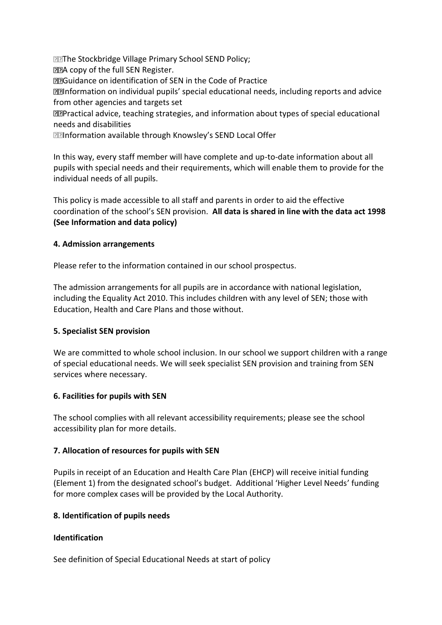**The Stockbridge Village Primary School SEND Policy; MEA copy of the full SEN Register.** Guidance on identification of SEN in the Code of Practice **IInformation on individual pupils' special educational needs, including reports and advice** from other agencies and targets set Practical advice, teaching strategies, and information about types of special educational needs and disabilities

**<b>IIInformation available through Knowsley's SEND Local Offer** 

In this way, every staff member will have complete and up-to-date information about all pupils with special needs and their requirements, which will enable them to provide for the individual needs of all pupils.

This policy is made accessible to all staff and parents in order to aid the effective coordination of the school's SEN provision. **All data is shared in line with the data act 1998 (See Information and data policy)** 

#### **4. Admission arrangements**

Please refer to the information contained in our school prospectus.

The admission arrangements for all pupils are in accordance with national legislation, including the Equality Act 2010. This includes children with any level of SEN; those with Education, Health and Care Plans and those without.

# **5. Specialist SEN provision**

We are committed to whole school inclusion. In our school we support children with a range of special educational needs. We will seek specialist SEN provision and training from SEN services where necessary.

#### **6. Facilities for pupils with SEN**

The school complies with all relevant accessibility requirements; please see the school accessibility plan for more details.

#### **7. Allocation of resources for pupils with SEN**

Pupils in receipt of an Education and Health Care Plan (EHCP) will receive initial funding (Element 1) from the designated school's budget. Additional 'Higher Level Needs' funding for more complex cases will be provided by the Local Authority.

#### **8. Identification of pupils needs**

# **Identification**

See definition of Special Educational Needs at start of policy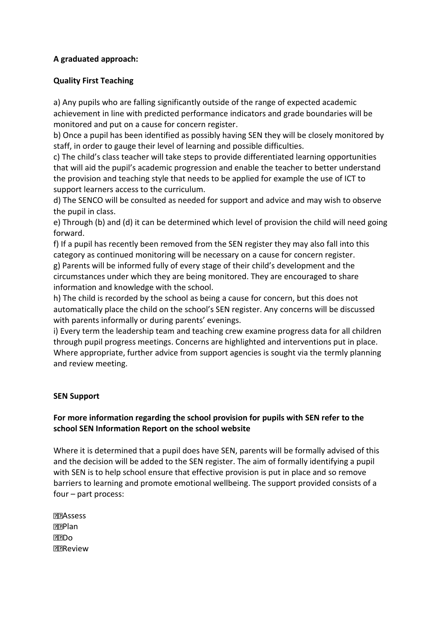# **A graduated approach:**

#### **Quality First Teaching**

a) Any pupils who are falling significantly outside of the range of expected academic achievement in line with predicted performance indicators and grade boundaries will be monitored and put on a cause for concern register.

b) Once a pupil has been identified as possibly having SEN they will be closely monitored by staff, in order to gauge their level of learning and possible difficulties.

c) The child's class teacher will take steps to provide differentiated learning opportunities that will aid the pupil's academic progression and enable the teacher to better understand the provision and teaching style that needs to be applied for example the use of ICT to support learners access to the curriculum.

d) The SENCO will be consulted as needed for support and advice and may wish to observe the pupil in class.

e) Through (b) and (d) it can be determined which level of provision the child will need going forward.

f) If a pupil has recently been removed from the SEN register they may also fall into this category as continued monitoring will be necessary on a cause for concern register. g) Parents will be informed fully of every stage of their child's development and the circumstances under which they are being monitored. They are encouraged to share information and knowledge with the school.

h) The child is recorded by the school as being a cause for concern, but this does not automatically place the child on the school's SEN register. Any concerns will be discussed with parents informally or during parents' evenings.

i) Every term the leadership team and teaching crew examine progress data for all children through pupil progress meetings. Concerns are highlighted and interventions put in place. Where appropriate, further advice from support agencies is sought via the termly planning and review meeting.

#### **SEN Support**

# **For more information regarding the school provision for pupils with SEN refer to the school SEN Information Report on the school website**

Where it is determined that a pupil does have SEN, parents will be formally advised of this and the decision will be added to the SEN register. The aim of formally identifying a pupil with SEN is to help school ensure that effective provision is put in place and so remove barriers to learning and promote emotional wellbeing. The support provided consists of a four – part process:

**PRAssess PPlan PRIDO** Review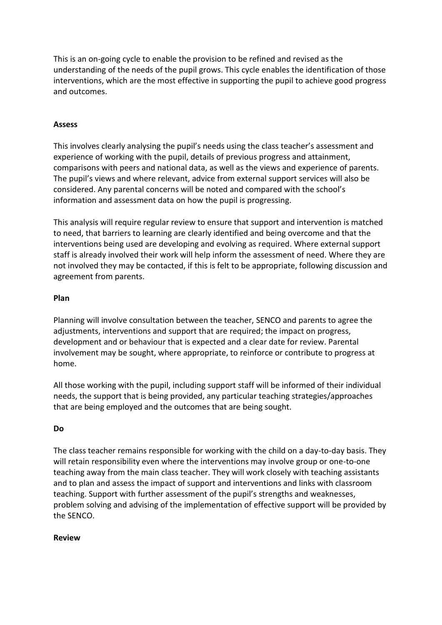This is an on-going cycle to enable the provision to be refined and revised as the understanding of the needs of the pupil grows. This cycle enables the identification of those interventions, which are the most effective in supporting the pupil to achieve good progress and outcomes.

# **Assess**

This involves clearly analysing the pupil's needs using the class teacher's assessment and experience of working with the pupil, details of previous progress and attainment, comparisons with peers and national data, as well as the views and experience of parents. The pupil's views and where relevant, advice from external support services will also be considered. Any parental concerns will be noted and compared with the school's information and assessment data on how the pupil is progressing.

This analysis will require regular review to ensure that support and intervention is matched to need, that barriers to learning are clearly identified and being overcome and that the interventions being used are developing and evolving as required. Where external support staff is already involved their work will help inform the assessment of need. Where they are not involved they may be contacted, if this is felt to be appropriate, following discussion and agreement from parents.

#### **Plan**

Planning will involve consultation between the teacher, SENCO and parents to agree the adjustments, interventions and support that are required; the impact on progress, development and or behaviour that is expected and a clear date for review. Parental involvement may be sought, where appropriate, to reinforce or contribute to progress at home.

All those working with the pupil, including support staff will be informed of their individual needs, the support that is being provided, any particular teaching strategies/approaches that are being employed and the outcomes that are being sought.

# **Do**

The class teacher remains responsible for working with the child on a day-to-day basis. They will retain responsibility even where the interventions may involve group or one-to-one teaching away from the main class teacher. They will work closely with teaching assistants and to plan and assess the impact of support and interventions and links with classroom teaching. Support with further assessment of the pupil's strengths and weaknesses, problem solving and advising of the implementation of effective support will be provided by the SENCO.

#### **Review**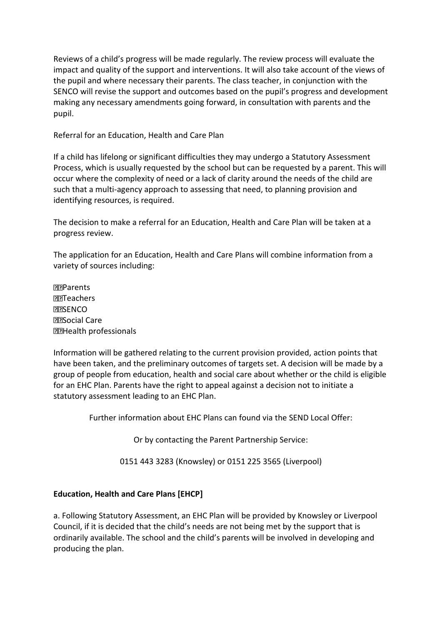Reviews of a child's progress will be made regularly. The review process will evaluate the impact and quality of the support and interventions. It will also take account of the views of the pupil and where necessary their parents. The class teacher, in conjunction with the SENCO will revise the support and outcomes based on the pupil's progress and development making any necessary amendments going forward, in consultation with parents and the pupil.

Referral for an Education, Health and Care Plan

If a child has lifelong or significant difficulties they may undergo a Statutory Assessment Process, which is usually requested by the school but can be requested by a parent. This will occur where the complexity of need or a lack of clarity around the needs of the child are such that a multi-agency approach to assessing that need, to planning provision and identifying resources, is required.

The decision to make a referral for an Education, Health and Care Plan will be taken at a progress review.

The application for an Education, Health and Care Plans will combine information from a variety of sources including:

**PR**Parents Teachers **PRISENCO MISocial Care** Health professionals

Information will be gathered relating to the current provision provided, action points that have been taken, and the preliminary outcomes of targets set. A decision will be made by a group of people from education, health and social care about whether or the child is eligible for an EHC Plan. Parents have the right to appeal against a decision not to initiate a statutory assessment leading to an EHC Plan.

Further information about EHC Plans can found via the SEND Local Offer:

Or by contacting the Parent Partnership Service:

0151 443 3283 (Knowsley) or 0151 225 3565 (Liverpool)

# **Education, Health and Care Plans [EHCP]**

a. Following Statutory Assessment, an EHC Plan will be provided by Knowsley or Liverpool Council, if it is decided that the child's needs are not being met by the support that is ordinarily available. The school and the child's parents will be involved in developing and producing the plan.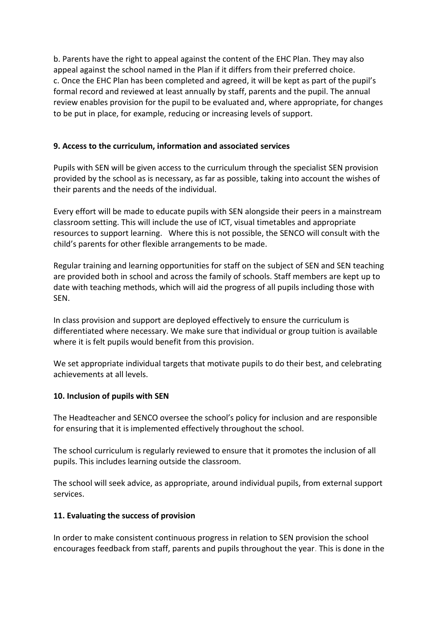b. Parents have the right to appeal against the content of the EHC Plan. They may also appeal against the school named in the Plan if it differs from their preferred choice. c. Once the EHC Plan has been completed and agreed, it will be kept as part of the pupil's formal record and reviewed at least annually by staff, parents and the pupil. The annual review enables provision for the pupil to be evaluated and, where appropriate, for changes to be put in place, for example, reducing or increasing levels of support.

# **9. Access to the curriculum, information and associated services**

Pupils with SEN will be given access to the curriculum through the specialist SEN provision provided by the school as is necessary, as far as possible, taking into account the wishes of their parents and the needs of the individual.

Every effort will be made to educate pupils with SEN alongside their peers in a mainstream classroom setting. This will include the use of ICT, visual timetables and appropriate resources to support learning. Where this is not possible, the SENCO will consult with the child's parents for other flexible arrangements to be made.

Regular training and learning opportunities for staff on the subject of SEN and SEN teaching are provided both in school and across the family of schools. Staff members are kept up to date with teaching methods, which will aid the progress of all pupils including those with SEN.

In class provision and support are deployed effectively to ensure the curriculum is differentiated where necessary. We make sure that individual or group tuition is available where it is felt pupils would benefit from this provision.

We set appropriate individual targets that motivate pupils to do their best, and celebrating achievements at all levels.

# **10. Inclusion of pupils with SEN**

The Headteacher and SENCO oversee the school's policy for inclusion and are responsible for ensuring that it is implemented effectively throughout the school.

The school curriculum is regularly reviewed to ensure that it promotes the inclusion of all pupils. This includes learning outside the classroom.

The school will seek advice, as appropriate, around individual pupils, from external support services.

# **11. Evaluating the success of provision**

In order to make consistent continuous progress in relation to SEN provision the school encourages feedback from staff, parents and pupils throughout the year. This is done in the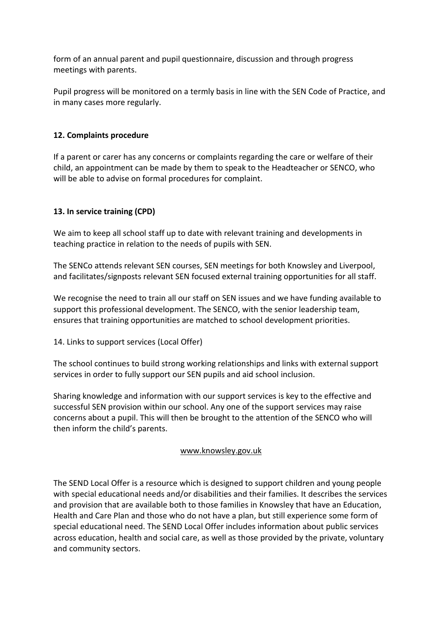form of an annual parent and pupil questionnaire, discussion and through progress meetings with parents.

Pupil progress will be monitored on a termly basis in line with the SEN Code of Practice, and in many cases more regularly.

# **12. Complaints procedure**

If a parent or carer has any concerns or complaints regarding the care or welfare of their child, an appointment can be made by them to speak to the Headteacher or SENCO, who will be able to advise on formal procedures for complaint.

# **13. In service training (CPD)**

We aim to keep all school staff up to date with relevant training and developments in teaching practice in relation to the needs of pupils with SEN.

The SENCo attends relevant SEN courses, SEN meetings for both Knowsley and Liverpool, and facilitates/signposts relevant SEN focused external training opportunities for all staff.

We recognise the need to train all our staff on SEN issues and we have funding available to support this professional development. The SENCO, with the senior leadership team, ensures that training opportunities are matched to school development priorities.

14. Links to support services (Local Offer)

The school continues to build strong working relationships and links with external support services in order to fully support our SEN pupils and aid school inclusion.

Sharing knowledge and information with our support services is key to the effective and successful SEN provision within our school. Any one of the support services may raise concerns about a pupil. This will then be brought to the attention of the SENCO who will then inform the child's parents.

# [www.knowsley.gov.uk](http://www.knowsley.gov.uk/)

The SEND Local Offer is a resource which is designed to support children and young people with special educational needs and/or disabilities and their families. It describes the services and provision that are available both to those families in Knowsley that have an Education, Health and Care Plan and those who do not have a plan, but still experience some form of special educational need. The SEND Local Offer includes information about public services across education, health and social care, as well as those provided by the private, voluntary and community sectors.